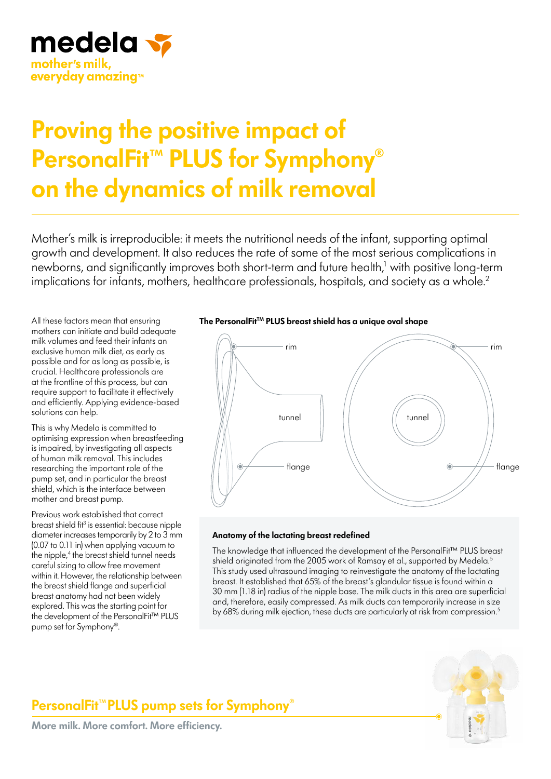

# **Proving the positive impact of PersonalFit™ PLUS for Symphony® on the dynamics of milk removal**

Mother's milk is irreproducible: it meets the nutritional needs of the infant, supporting optimal growth and development. It also reduces the rate of some of the most serious complications in newborns, and significantly improves both short-term and future health,<sup>1</sup> with positive long-term implications for infants, mothers, healthcare professionals, hospitals, and society as a whole.<sup>2</sup>

All these factors mean that ensuring mothers can initiate and build adequate milk volumes and feed their infants an exclusive human milk diet, as early as possible and for as long as possible, is crucial. Healthcare professionals are at the frontline of this process, but can require support to facilitate it effectively and efficiently. Applying evidence-based solutions can help.

This is why Medela is committed to optimising expression when breastfeeding is impaired, by investigating all aspects of human milk removal. This includes researching the important role of the pump set, and in particular the breast shield, which is the interface between mother and breast pump.

Previous work established that correct breast shield fit<sup>3</sup> is essential: because nipple diameter increases temporarily by 2 to 3 mm (0.07 to 0.11 in) when applying vacuum to the nipple,<sup>4</sup> the breast shield tunnel needs careful sizing to allow free movement within it. However, the relationship between the breast shield flange and superficial breast anatomy had not been widely explored. This was the starting point for the development of the PersonalFit™ PLUS pump set for Symphony®.

# The PersonalFit<sup>™</sup> PLUS breast shield has a unique oval shape



## **Anatomy of the lactating breast redefined**

The knowledge that influenced the development of the PersonalFit™ PLUS breast shield originated from the 2005 work of Ramsay et al., supported by Medela.<sup>5</sup> This study used ultrasound imaging to reinvestigate the anatomy of the lactating breast. It established that 65% of the breast's glandular tissue is found within a 30 mm (1.18 in) radius of the nipple base. The milk ducts in this area are superficial and, therefore, easily compressed. As milk ducts can temporarily increase in size by 68% during milk ejection, these ducts are particularly at risk from compression.<sup>5</sup>



# **PersonalFit™PLUS pump sets for Symphony®**

**More milk. More comfort. More efficiency.**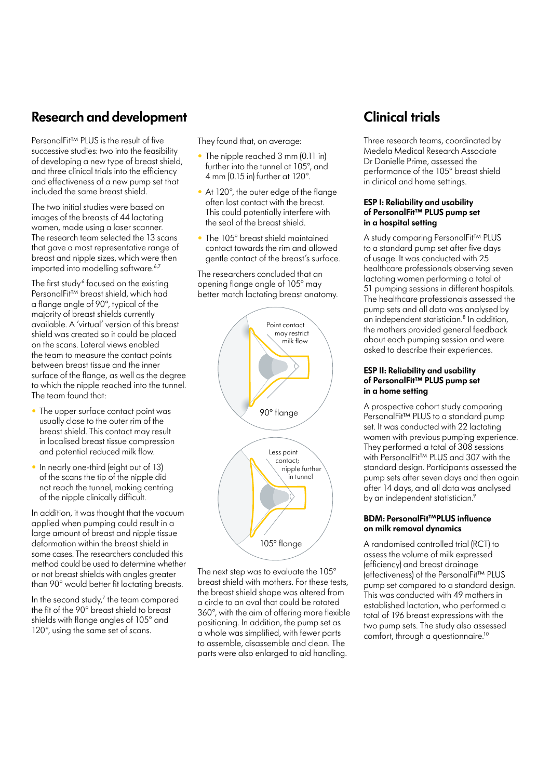# **Research and development**

PersonalFit™ PLUS is the result of five successive studies: two into the feasibility of developing a new type of breast shield, and three clinical trials into the efficiency and effectiveness of a new pump set that included the same breast shield.

The two initial studies were based on images of the breasts of 44 lactating women, made using a laser scanner. The research team selected the 13 scans that gave a most representative range of breast and nipple sizes, which were then imported into modelling software.<sup>6,7</sup>

The first study<sup>6</sup> focused on the existing PersonalFit™ breast shield, which had a flange angle of 90º, typical of the majority of breast shields currently available. A 'virtual' version of this breast shield was created so it could be placed on the scans. Lateral views enabled the team to measure the contact points between breast tissue and the inner surface of the flange, as well as the degree to which the nipple reached into the tunnel. The team found that:

- The upper surface contact point was usually close to the outer rim of the breast shield. This contact may result in localised breast tissue compression and potential reduced milk flow.
- In nearly one-third (eight out of 13) of the scans the tip of the nipple did not reach the tunnel, making centring of the nipple clinically difficult.

In addition, it was thought that the vacuum applied when pumping could result in a large amount of breast and nipple tissue deformation within the breast shield in some cases. The researchers concluded this method could be used to determine whether or not breast shields with angles greater than 90° would better fit lactating breasts.

In the second study,<sup>7</sup> the team compared the fit of the 90° breast shield to breast shields with flange angles of 105° and 120°, using the same set of scans.

They found that, on average:

- The nipple reached 3 mm (0.11 in) further into the tunnel at 105°, and 4 mm (0.15 in) further at 120°.
- At 120°, the outer edge of the flange often lost contact with the breast. This could potentially interfere with the seal of the breast shield.
- The 105° breast shield maintained contact towards the rim and allowed gentle contact of the breast's surface.

The researchers concluded that an opening flange angle of 105° may better match lactating breast anatomy.



The next step was to evaluate the 105° breast shield with mothers. For these tests, the breast shield shape was altered from a circle to an oval that could be rotated 360°, with the aim of offering more flexible positioning. In addition, the pump set as a whole was simplified, with fewer parts to assemble, disassemble and clean. The parts were also enlarged to aid handling.

# **Clinical trials**

Three research teams, coordinated by Medela Medical Research Associate Dr Danielle Prime, assessed the performance of the 105° breast shield in clinical and home settings.

## **ESP I: Reliability and usability of PersonalFit™ PLUS pump set in a hospital setting**

A study comparing PersonalFit™ PLUS to a standard pump set after five days of usage. It was conducted with 25 healthcare professionals observing seven lactating women performing a total of 51 pumping sessions in different hospitals. The healthcare professionals assessed the pump sets and all data was analysed by an independent statistician.<sup>8</sup> In addition, the mothers provided general feedback about each pumping session and were asked to describe their experiences.

## **ESP II: Reliability and usability of PersonalFit™ PLUS pump set in a home setting**

A prospective cohort study comparing PersonalFit™ PLUS to a standard pump set. It was conducted with 22 lactating women with previous pumping experience. They performed a total of 308 sessions with PersonalFit™ PLUS and 307 with the standard design. Participants assessed the pump sets after seven days and then again after 14 days, and all data was analysed by an independent statistician.<sup>9</sup>

# **BDM: PersonalFit™PLUS influence on milk removal dynamics**

A randomised controlled trial (RCT) to assess the volume of milk expressed (efficiency) and breast drainage (effectiveness) of the PersonalFit™ PLUS pump set compared to a standard design. This was conducted with 49 mothers in established lactation, who performed a total of 196 breast expressions with the two pump sets. The study also assessed comfort, through a questionnaire.<sup>10</sup>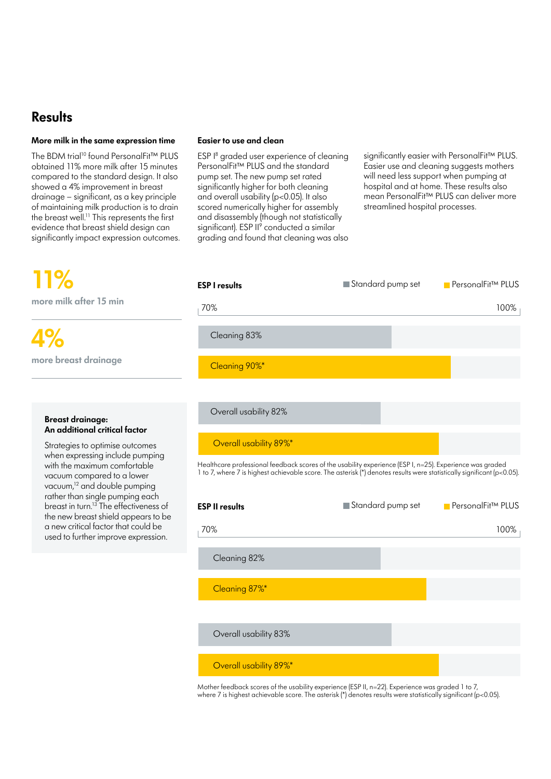# **Results**

# **More milk in the same expression time**

The BDM trial<sup>10</sup> found PersonalFit™ PLUS obtained 11% more milk after 15 minutes compared to the standard design. It also showed a 4% improvement in breast drainage – significant, as a key principle of maintaining milk production is to drain the breast well.<sup>11</sup> This represents the first evidence that breast shield design can significantly impact expression outcomes.

# **11% more milk after 15 min**

**4% more breast drainage** 

## **Breast drainage: An additional critical factor**

Strategies to optimise outcomes when expressing include pumping with the maximum comfortable vacuum compared to a lower vacuum,<sup>12</sup> and double pumping rather than single pumping each breast in turn.13 The effectiveness of the new breast shield appears to be a new critical factor that could be used to further improve expression.

## **Easier to use and clean**

ESP I<sup>8</sup> graded user experience of cleaning PersonalFit™ PLUS and the standard pump set. The new pump set rated significantly higher for both cleaning and overall usability (p<0.05). It also scored numerically higher for assembly and disassembly (though not statistically significant). ESP II<sup>9</sup> conducted a similar grading and found that cleaning was also

significantly easier with PersonalFit™ PLUS. Easier use and cleaning suggests mothers will need less support when pumping at hospital and at home. These results also mean PersonalFit™ PLUS can deliver more streamlined hospital processes.



Mother feedback scores of the usability experience (ESP II, n=22). Experience was graded 1 to 7, where 7 is highest achievable score. The asterisk (\*) denotes results were statistically significant (p<0.05).